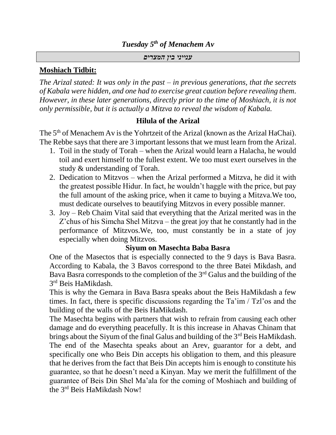## *Tuesday 5th of Menachem Av*

#### *ענייני בין המצרים*

## **Moshiach Tidbit:**

*The Arizal stated: It was only in the past – in previous generations, that the secrets of Kabala were hidden, and one had to exercise great caution before revealing them. However, in these later generations, directly prior to the time of Moshiach, it is not only permissible, but it is actually a Mitzva to reveal the wisdom of Kabala.*

## **Hilula of the Arizal**

The 5<sup>th</sup> of Menachem Av is the Yohrtzeit of the Arizal (known as the Arizal HaChai). The Rebbe says that there are 3 important lessons that we must learn from the Arizal.

- 1. Toil in the study of Torah when the Arizal would learn a Halacha, he would toil and exert himself to the fullest extent. We too must exert ourselves in the study & understanding of Torah.
- 2. Dedication to Mitzvos when the Arizal performed a Mitzva, he did it with the greatest possible Hidur. In fact, he wouldn't haggle with the price, but pay the full amount of the asking price, when it came to buying a Mitzva.We too, must dedicate ourselves to beautifying Mitzvos in every possible manner.
- 3. Joy Reb Chaim Vital said that everything that the Arizal merited was in the Z'chus of his Simcha Shel Mitzva – the great joy that he constantly had in the performance of Mitzvos.We, too, must constantly be in a state of joy especially when doing Mitzvos.

## **Siyum on Masechta Baba Basra**

One of the Masectos that is especially connected to the 9 days is Bava Basra. According to Kabala, the 3 Bavos correspond to the three Batei Mikdash, and Bava Basra corresponds to the completion of the 3rd Galus and the building of the 3 rd Beis HaMikdash.

This is why the Gemara in Bava Basra speaks about the Beis HaMikdash a few times. In fact, there is specific discussions regarding the Ta'im / Tzl'os and the building of the walls of the Beis HaMikdash.

The Masechta begins with partners that wish to refrain from causing each other damage and do everything peacefully. It is this increase in Ahavas Chinam that brings about the Siyum of the final Galus and building of the 3<sup>rd</sup> Beis HaMikdash. The end of the Masechta speaks about an Arev, guarantor for a debt, and specifically one who Beis Din accepts his obligation to them, and this pleasure that he derives from the fact that Beis Din accepts him is enough to constitute his guarantee, so that he doesn't need a Kinyan. May we merit the fulfillment of the guarantee of Beis Din Shel Ma'ala for the coming of Moshiach and building of the 3rd Beis HaMikdash Now!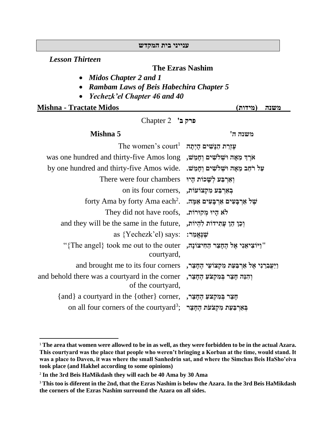#### **ענייני בית המקדש**

*Lesson Thirteen*

#### **The Ezras Nashim**

- *Midos Chapter 2 and 1*
- *Rambam Laws of Beis Habechira Chapter 5*
- *Yechezk'el Chapter 46 and 40*

**Mishna - Tractate Midos )מידות )משנה** 

**פרק ב'** 2 Chapter

## **משנה ה' 5 Mishna**

| עזרת הנשים היתה                                  | The women's court <sup>1</sup>                                                              |
|--------------------------------------------------|---------------------------------------------------------------------------------------------|
| ארֵךְ מֵאָה וּשָׁלֹשִׁים וְחָמֵשׁ,               | was one hundred and thirty-five Amos long                                                   |
| על רֹחַב מֵאֲה וּשְׁלֹשִׁים וְחַמֵּשׁ.           | by one hundred and thirty-five Amos wide.                                                   |
| וְאֵרְבַּעׁ לְשָׁכוֹת הָיוּ                      | There were four chambers                                                                    |
|                                                  | on its four corners, גארבּע מִקְצוֹעוֹת,                                                    |
| של אַרבָּעִים אַרְבָּעִים אַמָּה.                | forty Ama by forty Ama each <sup>2</sup> .                                                  |
| לא היו מקורות.                                   | They did not have roofs,                                                                    |
| וִכֵּן הֵן עֲתִידוֹת לְהִיוֹת,                   | and they will be the same in the future,                                                    |
|                                                  | as {Yechezk'el) says: :שׁגַאֲמַר                                                            |
|                                                  | "וַיוֹצִיאֵנִי אֵל הֻחֲצֵר הַחִיצוֹנָה, The angel} took me out to the outer?"<br>courtyard, |
| וַיַּעֲבְרֵנִי אֵל אַרִבּעַת מִקְצוֹעֵי הֵחָצֵר, | and brought me to its four corners                                                          |
| וְהִנֵּה חָצֵר בְּמִקְצֹעַ הֶחָצֵר,              | and behold there was a courtyard in the corner<br>of the courtyard,                         |
| חָצֵר בְּמִקְצִעַ הֶחָצֵר,                       | {and} a courtyard in the {other} corner,                                                    |
| בארבעת מקצעת החצר                                | on all four corners of the courtyard <sup>3</sup> ;                                         |
|                                                  |                                                                                             |

<sup>1</sup> **The area that women were allowed to be in as well, as they were forbidden to be in the actual Azara. This courtyard was the place that people who weren't bringing a Korban at the time, would stand. It was a place to Daven, it was where the small Sanhedrin sat, and where the Simchas Beis HaSho'eiva took place (and Hakhel according to some opinions)**

<sup>2</sup> **In the 3rd Beis HaMikdash they will each be 40 Ama by 30 Ama**

<sup>3</sup> **This too is diferent in the 2nd, that the Ezras Nashim is below the Azara. In the 3rd Beis HaMikdash the corners of the Ezras Nashim surround the Azara on all sides.**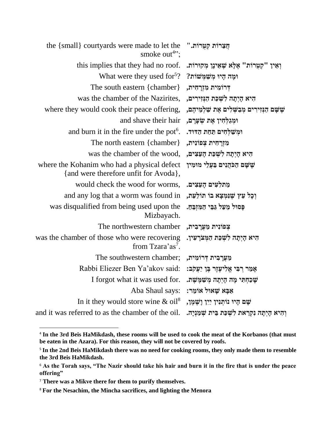| the {small} courtyards were made to let the<br>smoke out <sup>4</sup> ";             | חֲצֵרוֹת קַטְרוֹת.''                                |
|--------------------------------------------------------------------------------------|-----------------------------------------------------|
| this implies that they had no roof.                                                  | וְאֵין "קְטְרוֹת" אֶלָא שָׁאֵינָן מְקוּרוֹת.        |
| What were they used for $5$ ?                                                        | וּמַה הָיוּ מִשַׁמִּשׁוֹת?                          |
| The south eastern {chamber}                                                          | דְרוֹמִית מִזְרָחִית,                               |
| was the chamber of the Nazirites,                                                    | היא הִיְתָה לִשְׁכַּת הַגְּזִירִים,                 |
| where they would cook their peace offering,                                          | שָׁשָׁם הַנְזִירִים מְבַשְׁלִים אֶת שַׁלְמֵיהֶם,    |
| and shave their hair                                                                 | וּמְגַלְחִין אֵת שִׂעֲרָם,                          |
| and burn it in the fire under the pot <sup>6</sup> .                                 | וּמִשַׁלְחִים תַּחַת הַדּוּד.                       |
| The north eastern {chamber}                                                          | מִזְרָחִית צִפוֹנִית,                               |
| was the chamber of the wood,                                                         | היא הַיְתָה לִשְׁכַּת הָעֵצִים,                     |
| where the Kohanim who had a physical defect<br>{and were therefore unfit for Avoda}, | שָׁשָׁם הַכֹּהֲנִים בַּעֲלֵי מוּמִין                |
| would check the wood for worms,                                                      | מתלעים הָעֵצִים.                                    |
| and any log that a worm was found in                                                 | וְכָל עֵץ שֶׁנִּמְצָא בוֹ תוֹלַעַת,                 |
| was disqualified from being used upon the<br>Mizbayach.                              | פַּסוּל מֵעַל גַּבֵּי הַמְזְבֵהַ.                   |
| The northwestern chamber                                                             | צִפוֹנִית מַעֲרָבִית,                               |
| was the chamber of those who were recovering<br>from Tzara'as <sup>7</sup> .         | היא הִיְתָה לִשְׁכַּת הַמְּצֹרֲעִין.                |
| The southwestern chamber;                                                            | מַעֲרָבִית דְרוֹמִית,                               |
| Rabbi Eliezer Ben Ya'akov said:                                                      | אָמַר רְבִּי אֱלִיעֶזֶר בֶּן יַעֲקֹב:               |
| I forgot what it was used for.                                                       | שָׁכַחְתִּי מָה הָיְתָה מְשַׁמֵּשָׁת.               |
| Aba Shaul says:                                                                      | אַבַּא שַׁאוּל אוֹמֵר:                              |
| In it they would store wine $\&$ oil <sup>8</sup>                                    | שָׁם הָיוּ נוֹתְנִין יַיִן וָשָׁמֶן,                |
| and it was referred to as the chamber of the oil.                                    | וְהִיא הָיְתָה נִקְרֵאת לִשְׁכַּת בֵּית שְׁמַנְיָה. |
|                                                                                      |                                                     |

<sup>4</sup> **In the 3rd Beis HaMikdash, these rooms will be used to cook the meat of the Korbanos (that must be eaten in the Azara). For this reason, they will not be covered by roofs.**

<sup>5</sup> **In the 2nd Beis HaMikdash there was no need for cooking rooms, they only made them to resemble the 3rd Beis HaMikdash.**

<sup>6</sup> **As the Torah says, "The Nazir should take his hair and burn it in the fire that is under the peace offering"**

<sup>7</sup> **There was a Mikve there for them to purify themselves.**

<sup>8</sup> **For the Nesachim, the Mincha sacrifices, and lighting the Menora**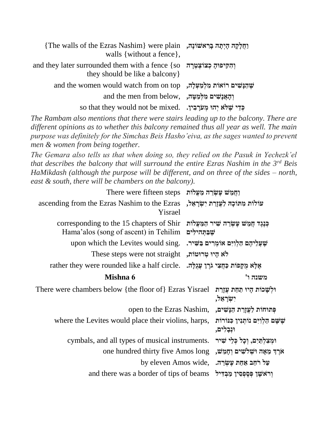| נְחֵלָקָה הָיִתָּה בָרְאֹשׁוֹנָה, The walls of the Ezras Nashim} were plain<br>walls { without a fence },          |  |
|--------------------------------------------------------------------------------------------------------------------|--|
| and they later surrounded them with a fence {so $\pi$ וְהִקִיפוּהָ כְּצוֹצְטְרָה<br>they should be like a balcony. |  |
| and the women would watch from on top , מִלְמַעִלָּה, and the women would watch from on top                        |  |
| and the men from below, וְהַאֲנָשִׁים מִלְמַטַּה,                                                                  |  |
| so that they would not be mixed. גְדֵי שָׁלֹא יְהוּ מְעֹרָבִין.                                                    |  |

*The Rambam also mentions that there were stairs leading up to the balcony. There are different opinions as to whether this balcony remained thus all year as well. The main purpose was definitely for the Simchas Beis Hasho'eiva, as the sages wanted to prevent men & women from being together.*

*The Gemara also tells us that when doing so, they relied on the Pasuk in Yechezk'el that describes the balcony that will surround the entire Ezras Nashim in the 3rd Beis HaMikdash (although the purpose will be different, and on three of the sides – north, east & south, there will be chambers on the balcony).*

| <u>וַחֲמֵשׁ עֵשְׂרֶה מַעֲלֹוֹת There were fifteen steps</u>                       |                |                                                         |
|-----------------------------------------------------------------------------------|----------------|---------------------------------------------------------|
| ascending from the Ezras Nashim to the Ezras<br>Yisrael                           |                | עולות מתוכה לעזרת ישראל,                                |
| corresponding to the 15 chapters of Shir<br>Hama'alos (song of ascent) in Tehilim | שִׁבַתְּהילִים | כִּנְגֵד חֲמֵשׁ עֵשְׂרֵה שִׁיר הַמַּעֲלוֹת              |
| upon which the Levites would sing.                                                |                | שָׁעֲלִיהֶם הַלְוִיִּם אוֹמְרִים בַּשִּׁיר.             |
| לא היו טרוטות, These steps were not straight                                      |                |                                                         |
| rather they were rounded like a half circle.                                      |                | אֵלָא מִקְפוֹת כַּחֲצִי גֹרֵן עַגְלָה.                  |
| Mishna 6                                                                          |                | משנה ו'                                                 |
| There were chambers below {the floor of} Ezras Yisrael                            |                | וּלִשֲכוֹת הַיוּ תַחַת עֲזַרַת<br>יִשְׂרַאֵל,           |
| open to the Ezras Nashim,                                                         |                | פִּתוּחוֹת לַעֲזָרַת הַנָּשִׁים,                        |
| where the Levites would place their violins, harps,                               |                | שָׁשַׁם הַלְוִיִּם נוֹתִנְין כְּנּוֹרוֹת<br>וּנִבְלִים, |
| cymbals, and all types of musical instruments.                                    |                | וּמְצִלְתַּיִם, וְכָל כְּלֵי שִׁיר                      |
| one hundred thirty five Amos long                                                 |                | ארֵךְ מֶאֲה וּשָׁלֹשִׁים וְחַמֵּשׁ,                     |
| by eleven Amos wide,                                                              |                | על רחב אחת עשרה.                                        |
| and there was a border of tips of beams                                           |                | וִרֹאֹשָׁן פִּסְפִסִין מַבְדִּיל                        |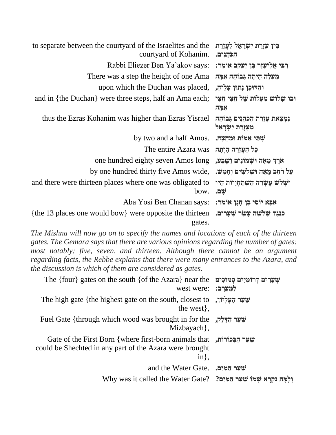| to separate between the courty and of the Israelities and the<br>courtyard of Kohanim. | בִּין עֵזָרַת יִשְׂרָאֵל לַעֲזָרַת<br>הַכֹּהֵנִים.         |
|----------------------------------------------------------------------------------------|------------------------------------------------------------|
| Rabbi Eliezer Ben Ya'akov says:                                                        | רִבִּי אֱלִיעֶזֶר בֶּן יַעֲקֹב אוֹמֵר:                     |
| There was a step the height of one Ama                                                 | מַעְלָה הָיְתָה גְּבוֹהָה אַמַּה                           |
| upon which the Duchan was placed,                                                      | וְהַדּוּכָן נְתוּן עָלֶיהָ,                                |
| and in {the Duchan} were three steps, half an Ama each;                                | וּבוֹ שַׁלוֹשׁ מַעֲלוֹת שֵׁל חֲצִי חֲצִי<br>אַמָּה         |
| thus the Ezras Kohanim was higher than Ezras Yisrael                                   | נמצאת עֲזָרת הַכֹּהֵנִים גְּבוֹהָה<br>מִעֲזָרַת יִשְׂרָאֵל |
| by two and a half Amos.                                                                | שתי אמות ומחצה.                                            |
| The entire Azara was                                                                   | כָּל הָעֲזָרָה הָיִתָּה                                    |
| one hundred eighty seven Amos long                                                     | ארֵךְ מֵאָה וּשָׁמוֹנִים וַשָּׁבַע,                        |
| by one hundred thirty five Amos wide,                                                  | על רֹחַב מֵאָה וּשִׁלֹשִׁים וְחָמֵשׁ.                      |
| and there were thirteen places where one was obligated to<br>bow.                      | ושלש עשרה השפחויות היו<br>שם.                              |
| Aba Yosi Ben Chanan says:                                                              | אַבָּא יוֹסֵי בֶן חָנָן אוֹמֵר:                            |
| {the 13 places one would bow} were opposite the thirteen<br>gates.                     | כִּנְגֵד שִׁלִשָּׁה עַשָּׂר שִׁעָרִים.                     |

*The Mishna will now go on to specify the names and locations of each of the thirteen gates. The Gemara says that there are various opinions regarding the number of gates:*  most notably; five, seven, and thirteen. Although there cannot be an argument *regarding facts, the Rebbe explains that there were many entrances to the Azara, and the discussion is which of them are considered as gates.*

| The {four} gates on the south {of the Azara} near the שְׁעֲרִים קְרוֹמְיִים שְׁמוּכִים<br><b>West were: למערב:</b>                                 |
|----------------------------------------------------------------------------------------------------------------------------------------------------|
| The high gate {the highest gate on the south, closest to $\psi$<br>the west,                                                                       |
| <b>Fuel Gate {through which wood was brought in for the</b> $\frac{1}{2}$<br>Mizbayach,                                                            |
| Gate of the First Born {where first-born animals that ,עֲשֶׁר הַבְּכוֹרוֹת,<br>could be Shechted in any part of the Azara were brought<br>$in\}$ , |
| and the Water Gate. שער המים                                                                                                                       |
| Why was it called the Water Gate? יַלְמַּה נִקְרַא שְׁמוֹ שֵׁעַר הָמַּיִם? Why was it called the Water                                             |
|                                                                                                                                                    |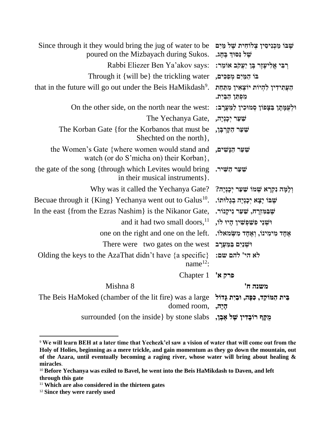| Since through it they would bring the jug of water to be<br>poured on the Mizbayach during Sukos. | שֵׁבּוֹ מַכְנִיסִין צְלוֹחִית שֵׁל מַּיִם<br>של נסוד בחג. |
|---------------------------------------------------------------------------------------------------|-----------------------------------------------------------|
| Rabbi Eliezer Ben Ya'akov says:                                                                   | ַרְבִּי אֱלִיעֶזֶר בֶּן יַעֲקֹב אוֹמֵר:                   |
| Through it {will be} the trickling water                                                          | בו המים מפכים,                                            |
| that in the future will go out under the Beis HaMikdash <sup>9</sup> .                            | העתידין להיות יוצאין מתחת<br>מִפְתַּךְ הַבֵּיִת.          |
| On the other side, on the north near the west:                                                    | וּלְעַמָּתָן בַּצְפוֹן סְמוּכִין לַמַּעֲרָב:              |
| The Yechanya Gate,                                                                                | שַׁעַר יִכְנְיָה,                                         |
| The Korban Gate {for the Korbanos that must be<br>Shechted on the north },                        | שִׁעַר הַקְרִבָּן,                                        |
| the Women's Gate {where women would stand and<br>watch (or do S'micha on) their Korban},          | שַׁעַר הַנָּשִׁים,                                        |
| the gate of the song {through which Levites would bring<br>in their musical instruments.          | שַׁעַר הַשִּׁיר.                                          |
| Why was it called the Yechanya Gate?                                                              | וִלְמָּה נִקְרָא שְׁמוֹ שַׁעַר יִכְנִיָה?                 |
| Becuae through it {King} Yechanya went out to Galus <sup>10</sup> .                               | שֵׁבּוֹ יָצָא יִכָּנִיָּה בְגָלוּתוֹ.                     |
| In the east {from the Ezras Nashim} is the Nikanor Gate,                                          | שָׁבּמִזְרָח, שַׁעַר נִיקָנוֹר.                           |
| and it had two small doors, $\frac{11}{1}$                                                        | וּשִׁנֵי פִשַׁפִּשִׁין הָיוּ לוֹ,                         |
| one on the right and one on the left.                                                             | אֶחָד מִימִינוֹ, וְאֱחָד מִשְׂמאלוֹ.                      |
| There were two gates on the west                                                                  | וּשָׁנַיִם בַּמַּעֲרָב                                    |
| Olding the keys to the AzaThat didn't have $\{a\text{ specific}\}\$<br>name <sup>12</sup> :       | לא הי' להם שם:                                            |
| Chapter 1                                                                                         | פרק א'                                                    |
| Mishna 8                                                                                          | משנה ח'                                                   |
| The Beis HaMoked (chamber of the lit fire) was a large<br>domed room,                             | בֵּית הַמּוֹקֵד, כִּפָּה, וּבַיִת גָּדוֹל<br>הַיָה,       |
| surrounded {on the inside} by stone slabs                                                         | מֻקֵף רוֹבָדִין שָׁל אֶבֶן,                               |

<sup>9</sup> **We will learn BEH at a later time that Yechezk'el saw a vision of water that will come out from the Holy of Holies, beginning as a mere trickle, and gain momentum as they go down the mountain, out of the Azara, until eventually becoming a raging river, whose water will bring about healing & miracles**.

<sup>&</sup>lt;sup>10</sup> Before Yechanya was exiled to Bavel, he went into the Beis HaMikdash to Daven, and left **through this gate**

<sup>11</sup> **Which are also considered in the thirteen gates**

<sup>12</sup> **Since they were rarely used**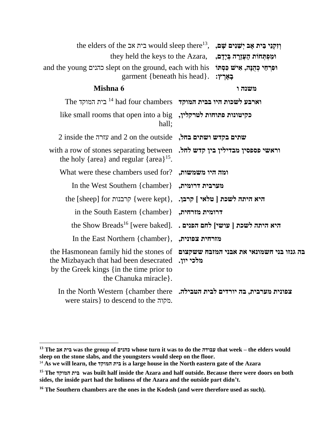|                                          |                 | the elders of the בית אב would sleep there <sup>13</sup> , יִשֵׁנִים שָׁם,                                                                            |
|------------------------------------------|-----------------|-------------------------------------------------------------------------------------------------------------------------------------------------------|
| ומפתחות העורה בידם,                      |                 | they held the keys to the Azara,                                                                                                                      |
| בְאָרֶץ:                                 |                 | and the young כהנים slept on the ground, each with his וּפִרְחֵי כְהֻנָּה, אִישׁ כִּסְתּוֹ<br>garment {beneath his head}.                             |
| משנה ו                                   |                 | Mishna 6                                                                                                                                              |
|                                          |                 | The וארבע לשכות היו בבית המוקד had four chambers וארבע המוקד                                                                                          |
|                                          |                 | like small rooms that open into a big , לטרקלין, like small rooms that open into a big<br>hall;                                                       |
|                                          |                 | $2$ inside the שתים בקדש ושתים בחל, and $2$ on the outside                                                                                            |
| וראשי פספסין מבדילין בין קדש לחל.        |                 | with a row of stones separating between<br>the holy { $area$ } and regular { $area$ } <sup>15</sup> .                                                 |
|                                          | ומה היו משמשות, | What were these chambers used for?                                                                                                                    |
|                                          | מערבית דרומית,  | In the West Southern {chamber}                                                                                                                        |
|                                          |                 | the [sheep] for קרבנות { were kept}, קרבן [ שלאי ] איתה לשכת [ sheep] קרבו                                                                            |
|                                          | דרומית מזרחית,  | in the South Eastern {chamber}                                                                                                                        |
| היא היתה לשכת   עושי] לחם הפנים .        |                 | the Show Breads <sup>16</sup> [were baked].                                                                                                           |
|                                          | מזרחית צפונית,  | In the East Northern {chamber},                                                                                                                       |
| בה גנזו בני חשמונאי את אבני המזבח ששקצום | מלכי יון.       | the Hasmonean family hid the stones of<br>the Mizbayach that had been desecrated<br>by the Greek kings {in the time prior to<br>the Chanuka miracle}. |
|                                          |                 | In the North Western {chamber there<br>צפונית מערבית, בה יורדים לבית הטבילה.<br>were stairs } to descend to the .מקוה.                                |

**<sup>13</sup> The אב בית was the group of כהנים whose turn it was to do the עבודה that week – the elders would sleep on the stone slabs, and the youngsters would sleep on the floor.**

<sup>14</sup> **As we will learn, the המוקד בית is a large house in the North eastern gate of the Azara**

**<sup>15</sup> The המוקד בית was built half inside the Azara and half outside. Because there were doors on both sides, the inside part had the holiness of the Azara and the outside part didn't.**

**<sup>16</sup> The Southern chambers are the ones in the Kodesh (and were therefore used as such).**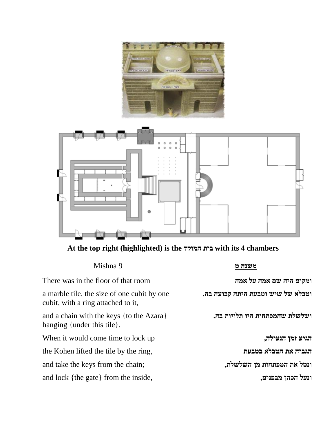



# **At the top right (highlighted) is the המוקד בית with its 4 chambers**

| Mishna 9                                                                          | משנה ט                            |
|-----------------------------------------------------------------------------------|-----------------------------------|
| There was in the floor of that room                                               | ומקום היה שם אמה על אמה           |
| a marble tile, the size of one cubit by one<br>cubit, with a ring attached to it, | וטבלא של שיש וטבעת היתה קבועה בה, |
| and a chain with the keys {to the Azara}<br>hanging {under this tile}.            | ושלשלת שהמפתחות היו תלויות בה.    |
| When it would come time to lock up                                                | הגיע זמן הנעילה,                  |
| the Kohen lifted the tile by the ring,                                            | הגביה את הטבלא בטבעת              |
| and take the keys from the chain;                                                 | ונטל את המפתחות מן השלשלת,        |
| and lock {the gate} from the inside,                                              | ונעל הכהן מבפנים,                 |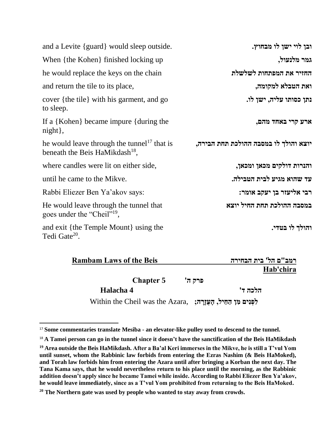| and a Levite {guard} would sleep outside.                                                             | ובן לוי ישן לו מבחוץ.                 |
|-------------------------------------------------------------------------------------------------------|---------------------------------------|
| When {the Kohen} finished locking up                                                                  | גמר מלנעול,                           |
| he would replace the keys on the chain                                                                | החזיר את המפתחות לשלשלת               |
| and return the tile to its place,                                                                     | ואת הטבלא למקומה,                     |
| cover {the tile} with his garment, and go<br>to sleep.                                                | נתן כסותו עליה, ישן לו.               |
| If a {Kohen} became impure {during the<br>$night\},$                                                  | ארע קרי באחד מהם,                     |
| he would leave through the tunnel <sup>17</sup> that is<br>beneath the Beis HaMikdash <sup>18</sup> , | יוצא והולך לו במסבה ההולכת תחת הבירה, |
| where candles were lit on either side,                                                                | והנרות דולקים מכאן ומכאן,             |
| until he came to the Mikve.                                                                           | עד שהוא מגיע לבית הטבילה.             |
| Rabbi Eliezer Ben Ya'akov says:                                                                       | רבי אליעזר בן יעקב אומר:              |
| He would leave through the tunnel that<br>goes under the "Cheil" <sup>19</sup> ,                      | במסבה ההולכת תחת החיל יוצא            |
| and exit {the Temple Mount} using the<br>Tedi Gate <sup>20</sup> .                                    | והולך לו בטדי.                        |

| <b>Rambam Laws of the Beis</b>                                             | רמב"ם הל' בית הבחירה |
|----------------------------------------------------------------------------|----------------------|
|                                                                            | Hab'chira            |
| <b>Chapter 5</b>                                                           | פרק ה'               |
| Halacha 4                                                                  | הלכה ד'              |
| Within the Cheil was the Azara, הַעֲזָרָה; Within the Cheil was the Azara, |                      |

<sup>17</sup> **Some commentaries translate Mesiba - an elevator-like pulley used to descend to the tunnel.**

<sup>18</sup> **A Tamei person can go in the tunnel since it doesn't have the sanctification of the Beis HaMikdash**

**<sup>19</sup> Area outside the Beis HaMikdash. After a Ba'al Keri immerses in the Mikve, he is still a T'vul Yom until sunset, whom the Rabbinic law forbids from entering the Ezras Nashim (& Beis HaMoked), and Torah law forbids him from entering the Azara until after bringing a Korban the next day. The Tana Kama says, that he would nevertheless return to his place until the morning, as the Rabbinic addition doesn't apply since he became Tamei while inside. According to Rabbi Eliezer Ben Ya'akov, he would leave immediately, since as a T'vul Yom prohibited from returning to the Beis HaMoked.**

**<sup>20</sup> The Northern gate was used by people who wanted to stay away from crowds.**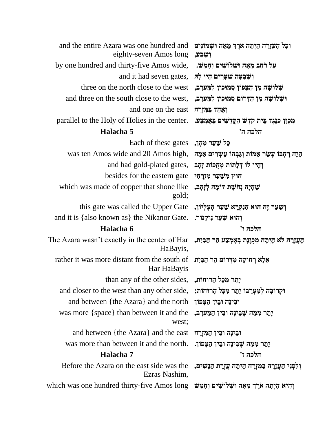| and the entire Azara was one hundred and<br>eighty-seven Amos long                                                   | וְכָל הָעֲזָרָה הָיְתָה אֹרֶךְ מֵאָה וּשְׁמוֹנִים<br>וִשְׁבַע, |
|----------------------------------------------------------------------------------------------------------------------|----------------------------------------------------------------|
| by one hundred and thirty-five Amos wide,                                                                            | עַל רֹחַב מֵאָה וּשְׁלוֹשִׁים וְחָמֵשׁ.                        |
| and it had seven gates, יִשְׁבָעָה שְׁעָרִים הָיוּ לָה                                                               |                                                                |
| three on the north close to the west                                                                                 | שְׁלוֹשָׁה מִן הַצְּפוֹן סְמוּכִין לַמַּעְרָב,                 |
| and three on the south close to the west,                                                                            | וּשְׁלוֹשָׁה מִן הַדְּרוֹם סְמוּכִין לַמַּעְרָב,               |
| and one on the east הַמְזָרָה                                                                                        |                                                                |
| parallel to the Holy of Holies in the center.                                                                        | מְכִוָּן כְּנֶגֶד בֵּית קֹדֶשׁ הַקֲדָשִׁים בָּאָמְצָע.         |
| Halacha 5                                                                                                            | הלכה ה'                                                        |
| Each of these gates                                                                                                  | כָּל שַׁעַר מֵהֶן,                                             |
| was ten Amos wide and 20 Amos high,                                                                                  | הָיָה רָחְבּוֹ עֶשֶׂר אַמּוֹת וְגָבְהוֹ עָשְׂרִים אַמָּה       |
| and had gold-plated gates, וְהָיוּ לוֹ דְּלָתוֹת מְחֻפּוֹת זָהָב                                                     |                                                                |
| besides for the eastern gate הוץ משער מזרחי                                                                          |                                                                |
| which was made of copper that shone like<br>gold;                                                                    | שָׁהָיָה נְחֹשָׁת דּוֹמָה לְזָהָב,                             |
| this gate was called the Upper Gate                                                                                  | וְשַׁעַר זֶה הוּא הַנִּקְרָא שַׁעַר הָעֶלְיוֹן,                |
| and it is {also known as} the Nikanor Gate. יְהוּא שַׁעַר נִיקֲנוֹר.                                                 |                                                                |
|                                                                                                                      |                                                                |
| Halacha 6                                                                                                            | הלכה ו'                                                        |
| The Azara wasn't exactly in the center of Har הַעֲזָרָה לֹא הָיְתָה מְכֻוֶּנֶת בְּאָמְצַעׁ הַר הַבֵּיִת,<br>HaBayis, |                                                                |
| rather it was more distant from the south of<br>Har HaBayis                                                          | אֵלָא רְחוֹקָה מִדְרוֹם הַר הַבַּיִת                           |
| יָתֵר מִכָּל הָרוּחוֹת, , than any of the other sides                                                                |                                                                |
| and closer to the west than any other side,                                                                          | וקרובה למערבו יתר מכל הרוחות;                                  |
| and between {the Azara} and the north                                                                                | וּבִינָה וּבִין הַצָּפוֹן                                      |
| was more {space} than between it and the<br>west;                                                                    | יַתֵר מִמַּה שֵׁבִּינָה וּבִין הַמַּעְרַב,                     |
| and between {the Azara} and the east                                                                                 | וּבִינָה וּבִין הַמְזוַרָה                                     |
| was more than between it and the north.                                                                              | יָתֵר מִמַּה שֶׁבֵּינָה וּבִין הַצָּפוֹן.                      |
| Halacha 7                                                                                                            | הלכה ז'                                                        |
| Before the Azara on the east side was the<br>Ezras Nashim,                                                           | וְלִפְנֵי הָעֲזֶרָה בּמִּזְרָח הָיְתָה עֲזֶרֶת הַנַּשִׁים,     |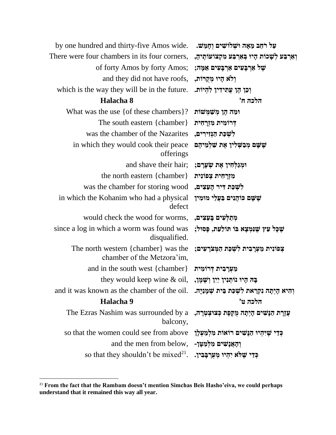| by one hundred and thirty-five Amos wide. נעל רֹחַב מֵאָה וּשְׁלוֹשִׁים וְחָמֵשׁ.                                                               |                                                   |
|-------------------------------------------------------------------------------------------------------------------------------------------------|---------------------------------------------------|
| There were four chambers in its four corners, ואֲרְבַּע לִשָּׁכוֹת הָיוּ בְּאֲרְבַּע מִקְצוֹעוֹתֶיהָ,                                           |                                                   |
| of forty Amos by forty Amos; גַּמֶּה; 35 אֲמָה;                                                                                                 |                                                   |
| and they did not have roofs, , הְיוּ מְקְרוֹת,                                                                                                  |                                                   |
| which is the way they will be in the future.                                                                                                    | וְכֵן הֶן עֲתִידִין לְהִיוֹת.                     |
| Halacha 8                                                                                                                                       | הלכה ח'                                           |
| What was the use { of these chambers }?                                                                                                         | ומה הֵן מִשַׁמִּשׁוֹת                             |
| The south eastern $\{chamber\}$                                                                                                                 | דְרוֹמִית מִזְרָחִית                              |
| was the chamber of the Nazarites                                                                                                                | לִשְׁכַּת הַגְּזִירִים,                           |
| in which they would cook their peace<br>offerings                                                                                               | שַׁשָׁם מִבִשְׁלִין אֵת שַׁלְמֵיהֵם               |
| and shave their hair; ; וִמְגַלְחִין אֶת שְׂעָרָם                                                                                               |                                                   |
| the north eastern {chamber}                                                                                                                     | מִזְרָחִית צִפּוֹנִית                             |
| was the chamber for storing wood                                                                                                                | לִשְׁכַּת דִּיר הָעֵצִים,                         |
| in which the Kohanim who had a physical<br>defect                                                                                               | שָׁשָׁם כּוֹהֲנִים בַּעֲלֵי מוּמִין               |
| מִתַלְעִים בַּעֲצִים, would check the wood for worms,                                                                                           |                                                   |
| since a log in which a worm was found was<br>disqualified.                                                                                      | שָׁכָּל עֵץ שֵׁנִּמִצָא בּוֹ תּוֹלַעַת, פָּסוּל;  |
| The north western {chamber} was the<br>chamber of the Metzora'im,                                                                               | צְפוֹנִית מַעְרָבִית לִשְׁכַּת הַמְּצֹרָעִים;     |
| and in the south west {chamber} מַעְרָבִית דְּרוֹמִית                                                                                           |                                                   |
| they would keep wine & oil, נְשְׁמֶן, לִשְׁמֶן,                                                                                                 |                                                   |
| and it was known as the chamber of the oil. אַמְנַיָּה. and it was known as the chamber of the oil.                                             |                                                   |
| Halacha 9                                                                                                                                       | הלכה ט'                                           |
| The Ezras Nashim was surrounded by a יַעֲזֶרָת הַנְּשִׁים קִיְתָה מֻקֶּפֶּת כְּצוּצְטְרָה, יוּ The Ezras Nashim was surrounded by a<br>balcony, |                                                   |
| so that the women could see from above                                                                                                          | כְּדֵי שָׁיִּהִיוּ הַנָּשִׁים רוֹאוֹת מִלְמַעְלָן |
| and the men from below,                                                                                                                         | וְהָאֲנָשִׁים מִלְמַטָּן-                         |
| so that they shouldn't be mixed <sup>21</sup> . יִהְיוּ מְעֻרְבָּבִין.                                                                          |                                                   |

<sup>21</sup> **From the fact that the Rambam doesn't mention Simchas Beis Hasho'eiva, we could perhaps understand that it remained this way all year.**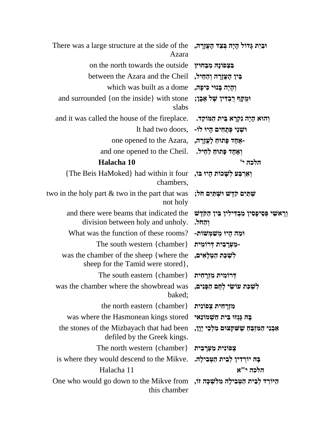| There was a large structure at the side of the הַיָּתְ בְּצַד הָעֲזֶרָה,<br>Azara                    |                                                                 |
|------------------------------------------------------------------------------------------------------|-----------------------------------------------------------------|
| on the north towards the outside                                                                     | בִּצְפוֹנָה מִבַּחוּץ                                           |
| between the Azara and the Cheil                                                                      | בֵּין הָעֲזֶרָה וְהַחֵיל,                                       |
| which was built as a dome                                                                            | וְהָיָה בָּנוּי כִּיפָה,                                        |
| and surrounded {on the inside} with stone<br>slabs                                                   | וּמֻקָּף רִבְדִין שָׁל אֶבֶן;                                   |
| and it was called the house of the fireplace. וְהוֹא הָיָה נִקְרָא בֵּית הַמּוֹקֵד.                  |                                                                 |
| It had two doors, -יִשְׁנֵי פְּתָחִים הָיוּ לוֹ                                                      |                                                                 |
| one opened to the Azara, יִעֲזָרָה, one opened to the Azara,                                         |                                                                 |
| and one opened to the Cheil. ואֲחָד פַּתוּחַ לַחֵיל.                                                 |                                                                 |
| Halacha 10                                                                                           | הלכה י'                                                         |
| {The Beis HaMoked} had within it four) וְאֵרְבַּע לְשָׁכוֹת הָיוּ בּוֹ<br>chambers,                  |                                                                 |
| two in the holy part $\&$ two in the part that was<br>not holy                                       | שתים קדש ושתים חל;                                              |
| and there were beams that indicated the<br>division between holy and unholy.                         | וְרָאשִׁי פְּסִיפָסִין מַבְדִּילִין בֵּין הַקִּדֶשׁ<br>וְהַחֹל. |
| What was the function of these rooms?                                                                | ומה היו משמשות-                                                 |
| The south western $\{chamber\}$                                                                      | -מַעְרָבִית דְּרוֹמִית                                          |
| was the chamber of the sheep {where the sheep ,<br>sheep for the Tamid were stored},                 |                                                                 |
| The south eastern {chamber}                                                                          | דְרוֹמִית מִזְרָחִית                                            |
| was the chamber where the showbread was הַפְּנִים, was the chamber where the showbread was<br>baked; |                                                                 |
| the north eastern ${chamber}$                                                                        | מִזְרַחִית צִפוֹנִית                                            |
| was where the Hasmonean kings stored נְהַא גְּנְזוּ בֵּית חַשְׁמוֹנַאי                               |                                                                 |
| the stones of the Mizbayach that had been<br>defiled by the Greek kings.                             | אַבְנֵי הַמִּזְבֵּחַ שָׁשִׁקְצוּם מַלְכֵי יָוָן,                |
| The north western {chamber} יִצְפוֹנִית מַעְרָבִית                                                   |                                                                 |
| is where they would descend to the Mikve. בָּה יוֹרְדִין לְבֵית הַטְּבִילָה.                         |                                                                 |
| Halacha 11                                                                                           | הלכה י"א                                                        |
| One who would go down to the Mikve from , היורד לְבֵית הַטְּבִילָה מִלִּשְׁכָּה זוֹ<br>this chamber  |                                                                 |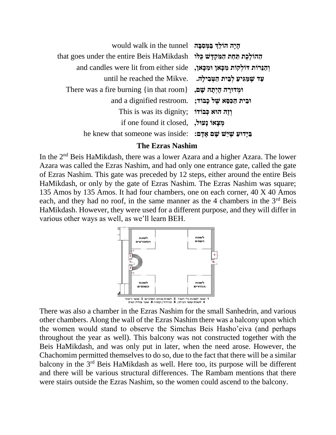| הַיָה הוֹלֶךְ בַּמִּסְבָה would walk in the tunnel                        |  |
|---------------------------------------------------------------------------|--|
| <del>ההולכת תחת המקדש כלו that goes under the entire Beis HaMikdash</del> |  |
| and candles were lit from either side ,וְהַנֵּרוֹת אִלְקוֹת מִכָּאוֹ      |  |
| until he reached the Mikve. נעד שמגיע לבית הַטְבִילָה.                    |  |
| There was a fire burning {in that room} , וּמְדוּרָה הָיִתָּה שָׁם        |  |
| and a dignified restroom. וּבִית הַכִּפְא שֵׁל כַבוֹד                     |  |
| This is was its dignity; יְדָה הוא כְּבוֹדוֹ                              |  |
| if one found it closed, מִצְאוֹ נַעוּל,                                   |  |
| he knew that someone was inside: בַּיָּדוּעַ שֵׁיֵּשׁ שַׁם אַדָּם:        |  |
|                                                                           |  |

### **The Ezras Nashim**

In the 2nd Beis HaMikdash, there was a lower Azara and a higher Azara. The lower Azara was called the Ezras Nashim, and had only one entrance gate, called the gate of Ezras Nashim. This gate was preceded by 12 steps, either around the entire Beis HaMikdash, or only by the gate of Ezras Nashim. The Ezras Nashim was square; 135 Amos by 135 Amos. It had four chambers, one on each corner, 40 X 40 Amos each, and they had no roof, in the same manner as the 4 chambers in the  $3<sup>rd</sup>$  Beis HaMikdash. However, they were used for a different purpose, and they will differ in various other ways as well, as we'll learn BEH.



There was also a chamber in the Ezras Nashim for the small Sanhedrin, and various other chambers. Along the wall of the Ezras Nashim there was a balcony upon which the women would stand to observe the Simchas Beis Hasho'eiva (and perhaps throughout the year as well). This balcony was not constructed together with the Beis HaMikdash, and was only put in later, when the need arose. However, the Chachomim permitted themselves to do so, due to the fact that there will be a similar balcony in the 3<sup>rd</sup> Beis HaMikdash as well. Here too, its purpose will be different and there will be various structural differences. The Rambam mentions that there were stairs outside the Ezras Nashim, so the women could ascend to the balcony.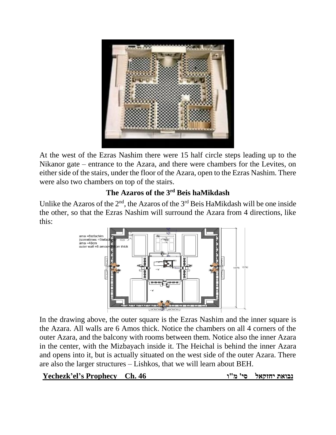

At the west of the Ezras Nashim there were 15 half circle steps leading up to the Nikanor gate – entrance to the Azara, and there were chambers for the Levites, on either side of the stairs, under the floor of the Azara, open to the Ezras Nashim. There were also two chambers on top of the stairs.

## **The Azaros of the 3rd Beis haMikdash**

Unlike the Azaros of the  $2<sup>nd</sup>$ , the Azaros of the  $3<sup>rd</sup>$  Beis HaMikdash will be one inside the other, so that the Ezras Nashim will surround the Azara from 4 directions, like this:



In the drawing above, the outer square is the Ezras Nashim and the inner square is the Azara. All walls are 6 Amos thick. Notice the chambers on all 4 corners of the outer Azara, and the balcony with rooms between them. Notice also the inner Azara in the center, with the Mizbayach inside it. The Heichal is behind the inner Azara and opens into it, but is actually situated on the west side of the outer Azara. There are also the larger structures – Lishkos, that we will learn about BEH.

**נבואת יחזקאל סי' מ"ו 46 .Ch Prophecy s'el'Yechezk**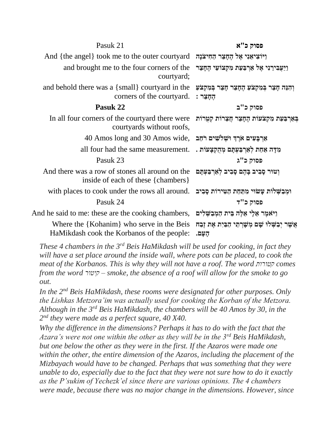| Pasuk 21                                                                                                                                    | פסוק כ"א                                                          |
|---------------------------------------------------------------------------------------------------------------------------------------------|-------------------------------------------------------------------|
| And {the angel} took me to the outer courtyard הַחִיצֹנָה And {the angel} took me to the outer courtyard                                    |                                                                   |
| and brought me to the four corners of the<br>courtyard;                                                                                     | וַיַּעֲבִירֵנִי אֵל אַרְבַּעַת מִקְצוֹעֵי הֵחָצֵר                 |
| and behold there was a $\{small\}$ courtyard in the<br>corners of the courtyard.                                                            | וְהִנֵּה חָצֵר בְּמִקְצֹעַ הֶחָצֵר חָצֵר בְּמִקְצֹעַ<br>הַחָּצֵר: |
| Pasuk 22                                                                                                                                    | פסוק כ"ב                                                          |
| In all four corners of the courtyard there were הַאֲרוֹת קַטְרוֹת בְּאֵרְצִבּעַת מִקְצֹעוֹת הֵחָצֵר הֲצָרוֹת ק<br>courtyards without roofs, |                                                                   |
| $40$ Amos long and 30 Amos wide, אַרְבַּעִים אֹרֵךְ וּשְׁלֹשִׁים רֹחַב                                                                      |                                                                   |
| all four had the same measurement. . מִדָּה אֲחַת לְאֵרְבַּעְתָּם מְהָקְצָעוֹת                                                              |                                                                   |
| Pasuk 23                                                                                                                                    | פסוק כ"ג                                                          |
| And there was a row of stones all around on the<br>inside of each of these {chambers}                                                       |                                                                   |
| with places to cook under the rows all around. וּמְבַשְׁלוֹת עָשׂוּי מִתַּחַת הַטִּירוֹת סָבִיב                                             |                                                                   |
| Pasuk 24                                                                                                                                    | פסוק כ"ד                                                          |
| And he said to me: these are the cooking chambers, אֲלֵי אֱלֶה בֶּית הַמְּבַשְּׁלִים And he said to me: these are the cooking chambers,     |                                                                   |
| Where the {Kohanim} who serve in the Beis<br>HaMikdash cook the Korbanos of the people:                                                     | אַשֵׁר יִבַשְׁלוּ שָׁם מְשָׁרְתֵי הַבַּיִת אֶת זֶבַח<br>העם.      |

*These 4 chambers in the 3rd Beis HaMikdash will be used for cooking, in fact they*  will have a set place around the inside wall, where pots can be placed, to cook the *meat of the Korbanos. This is why they will not have a roof. The word קטורות comes from the word קיטור – smoke, the absence of a roof will allow for the smoke to go out.*

*In the 2nd Beis HaMikdash, these rooms were designated for other purposes. Only the Lishkas Metzora'im was actually used for cooking the Korban of the Metzora. Although in the 3rd Beis HaMikdash, the chambers will be 40 Amos by 30, in the 2 nd they were made as a perfect square, 40 X40.*

*Why the difference in the dimensions? Perhaps it has to do with the fact that the Azara's were not one within the other as they will be in the 3rd Beis HaMikdash, but one below the other as they were in the first. If the Azaros were made one within the other, the entire dimension of the Azaros, including the placement of the Mizbayach would have to be changed. Perhaps that was something that they were unable to do, especially due to the fact that they were not sure how to do it exactly as the P'sukim of Yechezk'el since there are various opinions. The 4 chambers were made, because there was no major change in the dimensions. However, since*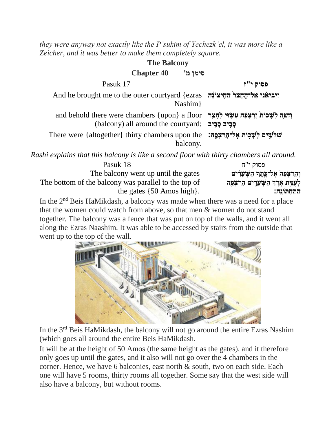*they were anyway not exactly like the P'sukim of Yechezk'el, it was more like a Zeicher, and it was better to make them completely square.*

| <b>The Balcony</b>                                                                                                                                |          |
|---------------------------------------------------------------------------------------------------------------------------------------------------|----------|
| <b>Chapter 40</b><br>'סימן מ                                                                                                                      |          |
| Pasuk 17                                                                                                                                          | פסוק י"ז |
| And he brought me to the outer courtyard {ezras זֵהְיצוֹנָה And he brought me to the outer courtyard<br>Nashim                                    |          |
| and behold there were chambers {upon} a floor זְהָגֶה לִשָּׁכוֹת וְרִצְפֶּה עָשְׂוּי לְחֻצֵר<br>(balcony) all around the courtyard; פְבִיב סָבִיב |          |
| There were {altogether} thirty chambers upon the :שְׁלְשֵׁים לְשָׁכְוֹת אֱלִ־הֶרְצְפֵהּ<br>balcony.                                               |          |
| Rashi explains that this balcony is like a second floor with thirty chambers all around.                                                          |          |
| Pasuk 18                                                                                                                                          | פסוק י"ח |

**וְ הָּ רִֶֽׁ צְ פָּה אֶ ל־כֶ ִ֣תֶ ף הַ שְ עָּרִׁ ָ֔ ים** gates the until up went balcony The The bottom of the balcony was parallel to the top of the gates {50 Amos high}.

**לְ עֻמַ ֵ֖ ת אִֹ֣ רֶ ְך הַ שְ עָּרִׁ ִ֑ ים הָּ רִֶֽׁ צְ פָּ ֵ֖ה הַ תַ חְ תֹונֶָּֽה׃**

In the  $2<sup>nd</sup>$  Beis HaMikdash, a balcony was made when there was a need for a place that the women could watch from above, so that men & women do not stand together. The balcony was a fence that was put on top of the walls, and it went all along the Ezras Naashim. It was able to be accessed by stairs from the outside that went up to the top of the wall.



In the 3rd Beis HaMikdash, the balcony will not go around the entire Ezras Nashim (which goes all around the entire Beis HaMikdash.

It will be at the height of 50 Amos (the same height as the gates), and it therefore only goes up until the gates, and it also will not go over the 4 chambers in the corner. Hence, we have 6 balconies, east north & south, two on each side. Each one will have 5 rooms, thirty rooms all together. Some say that the west side will also have a balcony, but without rooms.